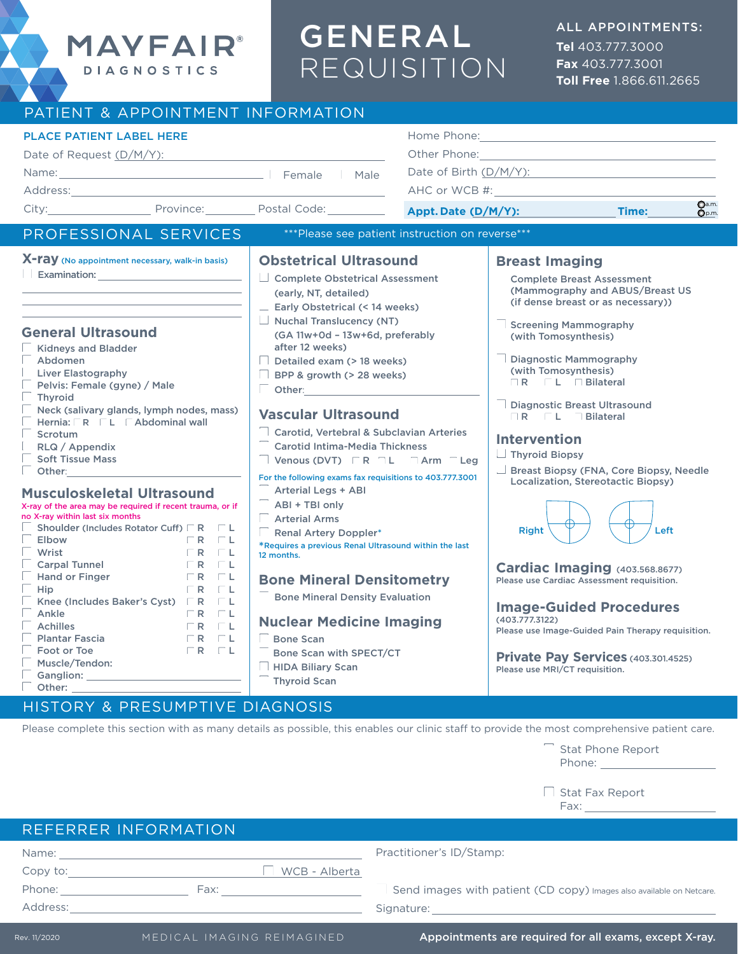# GENERAL REQUISITION

**Tel** 403.777.3000 **Fax** 403.777.3001 **Toll Free** 1.866.611.2665

| PATIENT & APPOINTMENT INFORMATION                                                                                                                                                                                                                                                                                                                                                                                                                                                                                                                                                                                                                                                                                                                                                                                                                                                                                                                                                                                                                     |                                                                                                                                                                                                                                                                                                                                                                                                                                                                                                                                                                                                                                                                                                                                                                                                                                                                                                                                              |                                                                                                       |                                                                                                                                                                                                                                                                                                                                                                                                                                                                                                                                                                                                                                                                                                                                                     |      |  |
|-------------------------------------------------------------------------------------------------------------------------------------------------------------------------------------------------------------------------------------------------------------------------------------------------------------------------------------------------------------------------------------------------------------------------------------------------------------------------------------------------------------------------------------------------------------------------------------------------------------------------------------------------------------------------------------------------------------------------------------------------------------------------------------------------------------------------------------------------------------------------------------------------------------------------------------------------------------------------------------------------------------------------------------------------------|----------------------------------------------------------------------------------------------------------------------------------------------------------------------------------------------------------------------------------------------------------------------------------------------------------------------------------------------------------------------------------------------------------------------------------------------------------------------------------------------------------------------------------------------------------------------------------------------------------------------------------------------------------------------------------------------------------------------------------------------------------------------------------------------------------------------------------------------------------------------------------------------------------------------------------------------|-------------------------------------------------------------------------------------------------------|-----------------------------------------------------------------------------------------------------------------------------------------------------------------------------------------------------------------------------------------------------------------------------------------------------------------------------------------------------------------------------------------------------------------------------------------------------------------------------------------------------------------------------------------------------------------------------------------------------------------------------------------------------------------------------------------------------------------------------------------------------|------|--|
| <b>PLACE PATIENT LABEL HERE</b><br>Date of Request (D/M/Y): Date of Request (D/M/Y):<br>Name: Mame. Male Male Male Male Male Male<br>Address: Andreas Address:<br>City: Province: Protal Code:                                                                                                                                                                                                                                                                                                                                                                                                                                                                                                                                                                                                                                                                                                                                                                                                                                                        | <u> 1980 - Johann Barbara, martin da basar da basar da basar da basar da basar da basar da basar da basar da basa</u>                                                                                                                                                                                                                                                                                                                                                                                                                                                                                                                                                                                                                                                                                                                                                                                                                        | Date of Birth (D/M/Y):<br>AHC or WCB #:<br>Q <sub>a.m.</sub><br>Appt. Date (D/M/Y):<br>Time:<br>Op.m. |                                                                                                                                                                                                                                                                                                                                                                                                                                                                                                                                                                                                                                                                                                                                                     |      |  |
| PROFESSIONAL SERVICES                                                                                                                                                                                                                                                                                                                                                                                                                                                                                                                                                                                                                                                                                                                                                                                                                                                                                                                                                                                                                                 | *** Please see patient instruction on reverse***                                                                                                                                                                                                                                                                                                                                                                                                                                                                                                                                                                                                                                                                                                                                                                                                                                                                                             |                                                                                                       |                                                                                                                                                                                                                                                                                                                                                                                                                                                                                                                                                                                                                                                                                                                                                     |      |  |
| X-ray (No appointment necessary, walk-in basis)<br>Examination:<br><b>General Ultrasound</b><br><b>Kidneys and Bladder</b><br>Abdomen<br><b>Liver Elastography</b><br>Pelvis: Female (gyne) / Male<br><b>Thyroid</b><br>Neck (salivary glands, lymph nodes, mass)<br>Hernia:   R   L   Abdominal wall<br>Scrotum<br>RLQ / Appendix<br><b>Soft Tissue Mass</b><br>Other:<br><b>Musculoskeletal Ultrasound</b><br>X-ray of the area may be required if recent trauma, or if<br>no X-ray within last six months<br>Shoulder (Includes Rotator Cuff) $\Box$ R $\Box$ L<br><b>Elbow</b><br>$\Box$ R<br>$\Box$ $\Box$ $\Box$<br>Wrist<br>$\Box$ R<br>- Little<br>$\Box$<br><b>Carpal Tunnel</b><br>$\Box$ R<br><b>Hand or Finger</b><br>$\Box$ R<br>- F L<br>$\Box$ R<br>Hip<br>$\Box$ $\Box$ $\Box$<br>$\Box$ L<br>Knee (Includes Baker's Cyst)   R<br>Ankle<br>$FR$ $FL$<br><b>Achilles</b><br>$\Box$ R<br>$\Box$ $\Box$ $\Box$<br>$\begin{bmatrix} R & L \end{bmatrix}$<br><b>Plantar Fascia</b><br>Foot or Toe<br>$FR$ $FL$<br>Muscle/Tendon:<br>Other: | <b>Obstetrical Ultrasound</b><br>Complete Obstetrical Assessment<br>(early, NT, detailed)<br>$\Box$ Early Obstetrical (< 14 weeks)<br>$\Box$ Nuchal Translucency (NT)<br>(GA 11w+0d - 13w+6d, preferably<br>after 12 weeks)<br>Detailed exam (> 18 weeks)<br><b>BPP &amp; growth (&gt; 28 weeks)</b><br>$\Box$ Other: $\Box$<br><b>Vascular Ultrasound</b><br>Carotid, Vertebral & Subclavian Arteries<br>Carotid Intima-Media Thickness<br>Venous (DVT) $\Box R \Box L \Box$ Arm $\Box$ Leg<br>For the following exams fax requisitions to 403.777.3001<br>Arterial Legs + ABI<br>ABI + TBI only<br><b>Arterial Arms</b><br>Renal Artery Doppler*<br>*Requires a previous Renal Ultrasound within the last<br>12 months.<br><b>Bone Mineral Densitometry</b><br><b>Bone Mineral Density Evaluation</b><br><b>Nuclear Medicine Imaging</b><br><b>Bone Scan</b><br>Bone Scan with SPECT/CT<br><b>HIDA Biliary Scan</b><br><b>Thyroid Scan</b> |                                                                                                       | <b>Breast Imaging</b><br><b>Complete Breast Assessment</b><br>(Mammography and ABUS/Breast US)<br>(if dense breast or as necessary))<br><b>Screening Mammography</b><br>(with Tomosynthesis)<br>$\Box$ Diagnostic Mammography<br>(with Tomosynthesis)<br>$R$ L $F$ Bilateral<br><b>J</b> Diagnostic Breast Ultrasound<br>IR L Bilateral<br><b>Intervention</b><br>Thyroid Biopsy<br>Breast Biopsy (FNA, Core Biopsy, Needle<br>Localization, Stereotactic Biopsy)<br><b>Right</b><br>Cardiac Imaging (403.568.8677)<br>Please use Cardiac Assessment requisition.<br><b>Image-Guided Procedures</b><br>(403.777.3122)<br>Please use Image-Guided Pain Therapy requisition.<br>Private Pay Services (403.301.4525)<br>Please use MRI/CT requisition. | Left |  |

#### HISTORY & PRESUMPTIVE DIAGNOSIS

MAYFAIR®

**DIAGNOSTICS** 

Please complete this section with as many details as possible, this enables our clinic staff to provide the most comprehensive patient care.



 $\Box$  Stat Fax Report

Fax:

## REFERRER INFORMATION

| Name:    |               |
|----------|---------------|
| Copy to: | WCB - Alberta |
| Phone:   | Fax:          |
| Address: |               |

#### Practitioner's ID/Stamp:

 $\equiv$  Send images with patient (CD copy) Images also available on Netcare. Signature:

Appointments are required for all exams, except X-ray.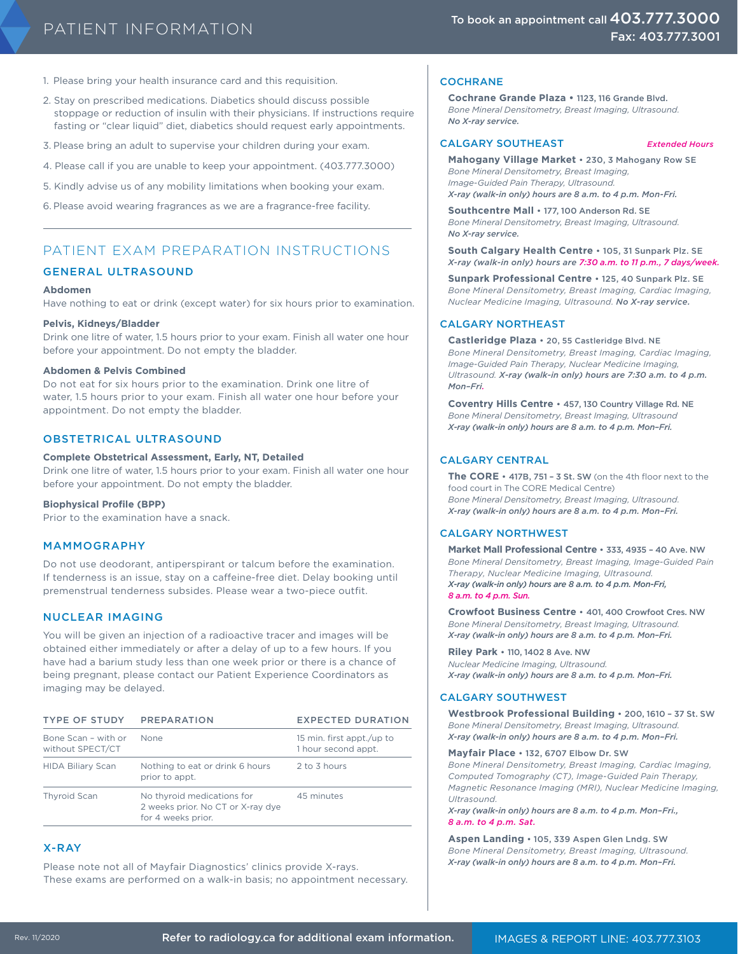- 1. Please bring your health insurance card and this requisition.
- 2. Stay on prescribed medications. Diabetics should discuss possible stoppage or reduction of insulin with their physicians. If instructions require fasting or "clear liquid" diet, diabetics should request early appointments.
- 3. Please bring an adult to supervise your children during your exam.
- 4. Please call if you are unable to keep your appointment. (403.777.3000)

5. Kindly advise us of any mobility limitations when booking your exam.

6. Please avoid wearing fragrances as we are a fragrance-free facility.

#### PATIENT EXAM PREPARATION INSTRUCTIONS

#### GENERAL ULTRASOUND

#### **Abdomen**

Have nothing to eat or drink (except water) for six hours prior to examination.

#### **Pelvis, Kidneys/Bladder**

Drink one litre of water, 1.5 hours prior to your exam. Finish all water one hour before your appointment. Do not empty the bladder.

#### **Abdomen & Pelvis Combined**

Do not eat for six hours prior to the examination. Drink one litre of water, 1.5 hours prior to your exam. Finish all water one hour before your appointment. Do not empty the bladder.

#### OBSTETRICAL ULTRASOUND

#### **Complete Obstetrical Assessment, Early, NT, Detailed**

Drink one litre of water, 1.5 hours prior to your exam. Finish all water one hour before your appointment. Do not empty the bladder.

#### **Biophysical Profile (BPP)**

Prior to the examination have a snack.

#### MAMMOGRAPHY

Do not use deodorant, antiperspirant or talcum before the examination. If tenderness is an issue, stay on a caffeine-free diet. Delay booking until premenstrual tenderness subsides. Please wear a two-piece outfit.

#### NUCLEAR IMAGING

You will be given an injection of a radioactive tracer and images will be obtained either immediately or after a delay of up to a few hours. If you have had a barium study less than one week prior or there is a chance of being pregnant, please contact our Patient Experience Coordinators as imaging may be delayed.

| <b>TYPE OF STUDY</b>                    | <b>PREPARATION</b>                                                                    | <b>EXPECTED DURATION</b>                         |
|-----------------------------------------|---------------------------------------------------------------------------------------|--------------------------------------------------|
| Bone Scan - with or<br>without SPECT/CT | None                                                                                  | 15 min. first appt./up to<br>1 hour second appt. |
| <b>HIDA Biliary Scan</b>                | Nothing to eat or drink 6 hours<br>prior to appt.                                     | 2 to 3 hours                                     |
| <b>Thyroid Scan</b>                     | No thyroid medications for<br>2 weeks prior. No CT or X-ray dye<br>for 4 weeks prior. | 45 minutes                                       |

#### X-RAY

Please note not all of Mayfair Diagnostics' clinics provide X-rays. These exams are performed on a walk-in basis; no appointment necessary.

#### **COCHRANE**

**Cochrane Grande Plaza •** 1123, 116 Grande Blvd. *Bone Mineral Densitometry, Breast Imaging, Ultrasound. No X-ray service.*

#### CALGARY SOUTHEAST *Extended Hours*

**Mahogany Village Market** • 230, 3 Mahogany Row SE *Bone Mineral Densitometry, Breast Imaging, Image-Guided Pain Therapy, Ultrasound. X-ray (walk-in only) hours are 8 a.m. to 4 p.m. Mon-Fri.*

**Southcentre Mall** • 177, 100 Anderson Rd. SE *Bone Mineral Densitometry, Breast Imaging, Ultrasound. No X-ray service.*

**South Calgary Health Centre** • 105, 31 Sunpark Plz. SE *X-ray (walk-in only) hours are 7:30 a.m. to 11 p.m., 7 days/week.*

**Sunpark Professional Centre** • 125, 40 Sunpark Plz. SE *Bone Mineral Densitometry, Breast Imaging, Cardiac Imaging, Nuclear Medicine Imaging, Ultrasound. No X-ray service.*

#### CALGARY NORTHEAST

**Castleridge Plaza** • 20, 55 Castleridge Blvd. NE *Bone Mineral Densitometry, Breast Imaging, Cardiac Imaging, Image-Guided Pain Therapy, Nuclear Medicine Imaging, Ultrasound. X-ray (walk-in only) hours are 7:30 a.m. to 4 p.m. Mon–Fri.*

**Coventry Hills Centre** • 457, 130 Country Village Rd. NE *Bone Mineral Densitometry, Breast Imaging, Ultrasound X-ray (walk-in only) hours are 8 a.m. to 4 p.m. Mon–Fri.*

#### CALGARY CENTRAL

**The CORE** • 417B, 751 – 3 St. SW (on the 4th floor next to the food court in The CORE Medical Centre) *Bone Mineral Densitometry, Breast Imaging, Ultrasound. X-ray (walk-in only) hours are 8 a.m. to 4 p.m. Mon–Fri.*

#### CALGARY NORTHWEST

**Market Mall Professional Centre** • 333, 4935 – 40 Ave. NW *Bone Mineral Densitometry, Breast Imaging, Image-Guided Pain Therapy, Nuclear Medicine Imaging, Ultrasound. X-ray (walk-in only) hours are 8 a.m. to 4 p.m. Mon-Fri, 8 a.m. to 4 p.m. Sun.* 

**Crowfoot Business Centre** • 401, 400 Crowfoot Cres. NW *Bone Mineral Densitometry, Breast Imaging, Ultrasound. X-ray (walk-in only) hours are 8 a.m. to 4 p.m. Mon–Fri.*

#### **Riley Park** • 110, 1402 8 Ave. NW

*Nuclear Medicine Imaging, Ultrasound. X-ray (walk-in only) hours are 8 a.m. to 4 p.m. Mon–Fri.*

#### CALGARY SOUTHWEST

**Westbrook Professional Building** • 200, 1610 – 37 St. SW *Bone Mineral Densitometry, Breast Imaging, Ultrasound. X-ray (walk-in only) hours are 8 a.m. to 4 p.m. Mon–Fri.*

#### **Mayfair Place** • 132, 6707 Elbow Dr. SW

*Bone Mineral Densitometry, Breast Imaging, Cardiac Imaging, Computed Tomography (CT), Image-Guided Pain Therapy, Magnetic Resonance Imaging (MRI), Nuclear Medicine Imaging, Ultrasound.*

*X-ray (walk-in only) hours are 8 a.m. to 4 p.m. Mon–Fri., 8 a.m. to 4 p.m. Sat.*

**Aspen Landing** • 105, 339 Aspen Glen Lndg. SW *Bone Mineral Densitometry, Breast Imaging, Ultrasound. X-ray (walk-in only) hours are 8 a.m. to 4 p.m. Mon–Fri.*